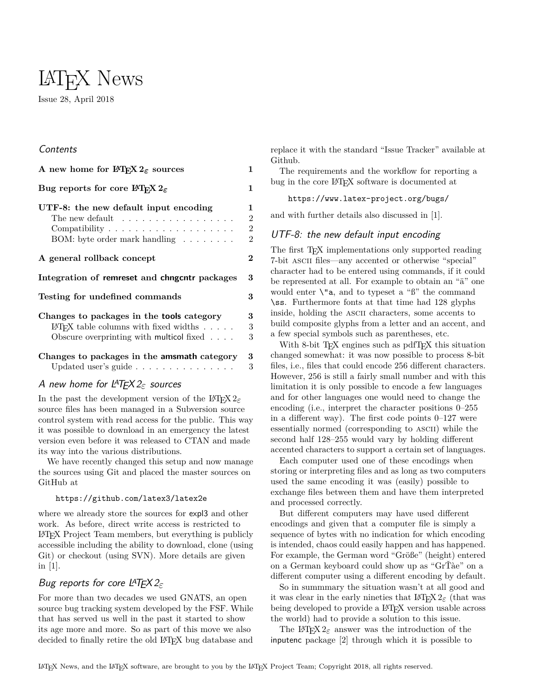# LATEX News Issue 28, April 2018

## Contents

| A new home for $\operatorname{ETr} X 2_{\varepsilon}$ sources                                                                                              | 1                                                       |
|------------------------------------------------------------------------------------------------------------------------------------------------------------|---------------------------------------------------------|
| Bug reports for core IT <sub>F</sub> X $2_{\varepsilon}$                                                                                                   | $\mathbf{1}$                                            |
| UTF-8: the new default input encoding<br>The new default $\dots \dots \dots \dots \dots \dots$<br>BOM: byte order mark handling                            | 1<br>$\overline{2}$<br>$\overline{2}$<br>$\overline{2}$ |
| A general rollback concept                                                                                                                                 | $\overline{2}$                                          |
| Integration of remreset and chngcntr packages                                                                                                              | 3                                                       |
| Testing for undefined commands                                                                                                                             | 3                                                       |
| Changes to packages in the <b>tools</b> category<br>IATEX table columns with fixed widths $\ldots$ .<br>Obscure overprinting with multicol fixed $\dots$ . | 3<br>3<br>3                                             |
| Changes to packages in the amsmath category<br>Updated user's guide                                                                                        | 3<br>3                                                  |

## <span id="page-0-0"></span>A new home for LATEX 2*ε* sources

In the past the development version of the LATEX 2*ε* source files has been managed in a Subversion source control system with read access for the public. This way it was possible to download in an emergency the latest version even before it was released to CTAN and made its way into the various distributions.

We have recently changed this setup and now manage the sources using Git and placed the master sources on GitHub at

#### <https://github.com/latex3/latex2e>

where we already store the sources for expl3 and other work. As before, direct write access is restricted to LATEX Project Team members, but everything is publicly accessible including the ability to download, clone (using Git) or checkout (using SVN). More details are given in [\[1\]](#page-2-7).

# <span id="page-0-1"></span>Bug reports for core LATEX 2*ε*

For more than two decades we used GNATS, an open source bug tracking system developed by the FSF. While that has served us well in the past it started to show its age more and more. So as part of this move we also decided to finally retire the old LAT<sub>EX</sub> bug database and

replace it with the standard "Issue Tracker" available at Github.

The requirements and the workflow for reporting a bug in the core IAT<sub>E</sub>X software is documented at

<https://www.latex-project.org/bugs/>

and with further details also discussed in [\[1\]](#page-2-7).

## <span id="page-0-2"></span>UTF-8: the new default input encoding

The first T<sub>EX</sub> implementations only supported reading 7-bit ascii files—any accented or otherwise "special" character had to be entered using commands, if it could be represented at all. For example to obtain an "ä" one would enter  $\mathcal{N}^n$  and to typeset a " $\mathcal{S}^n$ " the command \ss. Furthermore fonts at that time had 128 glyphs inside, holding the ascii characters, some accents to build composite glyphs from a letter and an accent, and a few special symbols such as parentheses, etc.

With 8-bit T<sub>EX</sub> engines such as pdfT<sub>EX</sub> this situation changed somewhat: it was now possible to process 8-bit files, i.e., files that could encode 256 different characters. However, 256 is still a fairly small number and with this limitation it is only possible to encode a few languages and for other languages one would need to change the encoding (i.e., interpret the character positions 0–255 in a different way). The first code points 0–127 were essentially normed (corresponding to ascii) while the second half 128–255 would vary by holding different accented characters to support a certain set of languages.

Each computer used one of these encodings when storing or interpreting files and as long as two computers used the same encoding it was (easily) possible to exchange files between them and have them interpreted and processed correctly.

But different computers may have used different encodings and given that a computer file is simply a sequence of bytes with no indication for which encoding is intended, chaos could easily happen and has happened. For example, the German word "Größe" (height) entered on a German keyboard could show up as "GrŤàe" on a different computer using a different encoding by default.

So in summmary the situation wasn't at all good and it was clear in the early nineties that LAT<sub>EX</sub> 2<sub>*ε*</sub> (that was being developed to provide a L<sup>A</sup>T<sub>F</sub>X version usable across the world) had to provide a solution to this issue.

The L<sup>AT</sup>EX 2<sup> $\epsilon$ </sup> answer was the introduction of the inputenc package [\[2\]](#page-2-8) through which it is possible to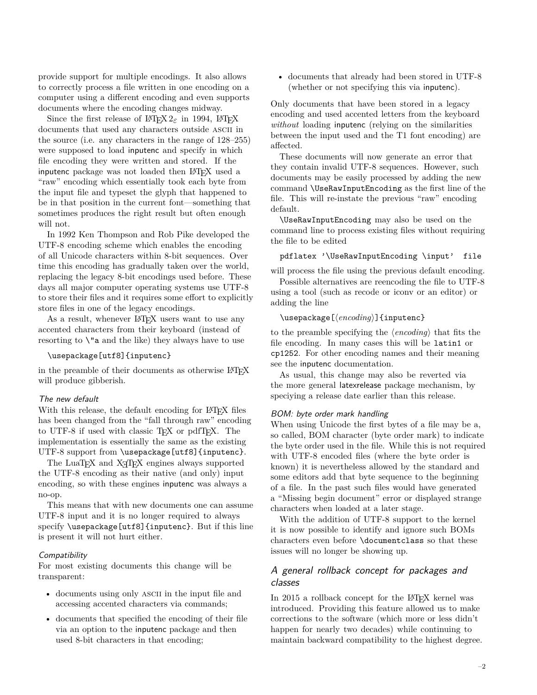provide support for multiple encodings. It also allows to correctly process a file written in one encoding on a computer using a different encoding and even supports documents where the encoding changes midway.

Since the first release of  $\text{LATEX} 2_{\varepsilon}$  in 1994,  $\text{LATEX}$ documents that used any characters outside ASCII in the source (i.e. any characters in the range of 128–255) were supposed to load inputenc and specify in which file encoding they were written and stored. If the inputenc package was not loaded then LAT<sub>EX</sub> used a "raw" encoding which essentially took each byte from the input file and typeset the glyph that happened to be in that position in the current font—something that sometimes produces the right result but often enough will not.

In 1992 Ken Thompson and Rob Pike developed the UTF-8 encoding scheme which enables the encoding of all Unicode characters within 8-bit sequences. Over time this encoding has gradually taken over the world, replacing the legacy 8-bit encodings used before. These days all major computer operating systems use UTF-8 to store their files and it requires some effort to explicitly store files in one of the legacy encodings.

As a result, whenever L<sup>AT</sup>FX users want to use any accented characters from their keyboard (instead of resorting to  $\iota$  and the like) they always have to use

#### \usepackage[utf8]{inputenc}

in the preamble of their documents as otherwise LAT<sub>EX</sub> will produce gibberish.

#### <span id="page-1-0"></span>The new default

With this release, the default encoding for L<sup>AT</sup>FX files has been changed from the "fall through raw" encoding to UTF-8 if used with classic T<sub>E</sub>X or pdfT<sub>E</sub>X. The implementation is essentially the same as the existing UTF-8 support from \usepackage[utf8]{inputenc}.

The LuaT<sub>EX</sub> and X<sub>T</sub>T<sub>EX</sub> engines always supported the UTF-8 encoding as their native (and only) input encoding, so with these engines inputenc was always a no-op.

This means that with new documents one can assume UTF-8 input and it is no longer required to always specify \usepackage[utf8]{inputenc}. But if this line is present it will not hurt either.

#### <span id="page-1-1"></span>**Compatibility**

For most existing documents this change will be transparent:

- documents using only ASCII in the input file and accessing accented characters via commands;
- documents that specified the encoding of their file via an option to the inputenc package and then used 8-bit characters in that encoding;

• documents that already had been stored in UTF-8 (whether or not specifying this via inputenc).

Only documents that have been stored in a legacy encoding and used accented letters from the keyboard *without* loading inputenc (relying on the similarities between the input used and the T1 font encoding) are affected.

These documents will now generate an error that they contain invalid UTF-8 sequences. However, such documents may be easily processed by adding the new command \UseRawInputEncoding as the first line of the file. This will re-instate the previous "raw" encoding default.

\UseRawInputEncoding may also be used on the command line to process existing files without requiring the file to be edited

pdflatex '\UseRawInputEncoding \input' file

will process the file using the previous default encoding. Possible alternatives are reencoding the file to UTF-8

using a tool (such as recode or iconv or an editor) or adding the line

## \usepackage[⟨*encoding*⟩]{inputenc}

to the preamble specifying the ⟨*encoding*⟩ that fits the file encoding. In many cases this will be latin1 or cp1252. For other encoding names and their meaning see the inputenc documentation.

As usual, this change may also be reverted via the more general latexrelease package mechanism, by speciying a release date earlier than this release.

#### <span id="page-1-2"></span>BOM: byte order mark handling

When using Unicode the first bytes of a file may be a, so called, BOM character (byte order mark) to indicate the byte order used in the file. While this is not required with UTF-8 encoded files (where the byte order is known) it is nevertheless allowed by the standard and some editors add that byte sequence to the beginning of a file. In the past such files would have generated a "Missing begin document" error or displayed strange characters when loaded at a later stage.

With the addition of UTF-8 support to the kernel it is now possible to identify and ignore such BOMs characters even before \documentclass so that these issues will no longer be showing up.

## <span id="page-1-3"></span>A general rollback concept for packages and classes

In 2015 a rollback concept for the L<sup>AT</sup>EX kernel was introduced. Providing this feature allowed us to make corrections to the software (which more or less didn't happen for nearly two decades) while continuing to maintain backward compatibility to the highest degree.